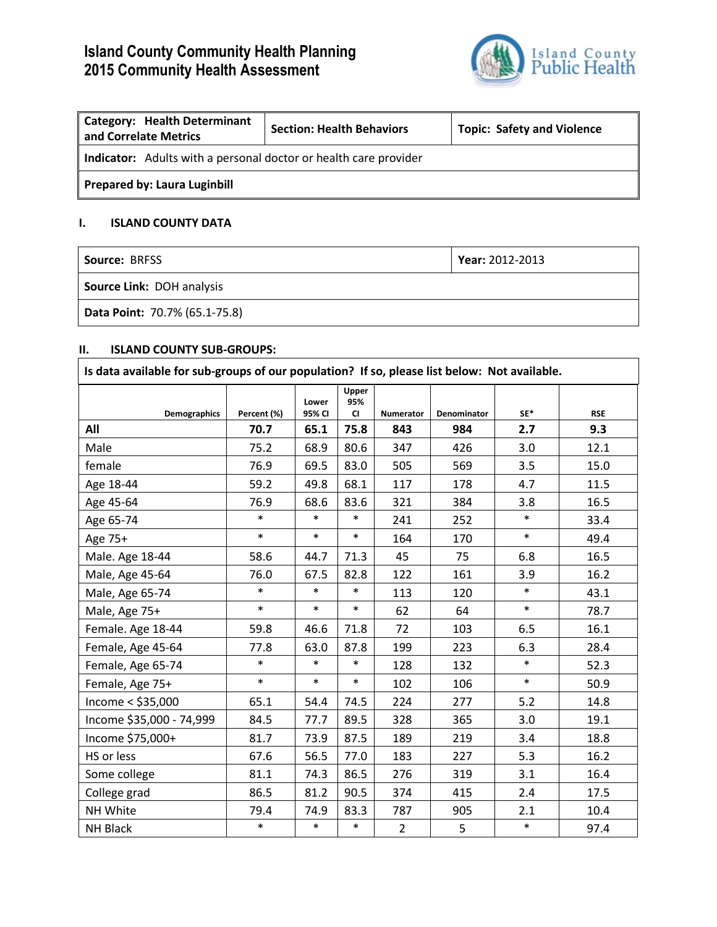# **Island County Community Health Planning 2015 Community Health Assessment**



| <b>Category: Health Determinant</b><br>and Correlate Metrics            | <b>Section: Health Behaviors</b> | <b>Topic: Safety and Violence</b> |  |  |
|-------------------------------------------------------------------------|----------------------------------|-----------------------------------|--|--|
| <b>Indicator:</b> Adults with a personal doctor or health care provider |                                  |                                   |  |  |
| <b>Prepared by: Laura Luginbill</b>                                     |                                  |                                   |  |  |

## **I. ISLAND COUNTY DATA**

| <b>Source: BRFSS</b>             | $\blacktriangleright$ Year: 2012-2013 |  |  |
|----------------------------------|---------------------------------------|--|--|
| <b>Source Link: DOH analysis</b> |                                       |  |  |
| Data Point: 70.7% (65.1-75.8)    |                                       |  |  |

## **II. ISLAND COUNTY SUB-GROUPS:**

| Is data available for sub-groups of our population? If so, please list below: Not available. |             |                 |                    |                |             |        |            |
|----------------------------------------------------------------------------------------------|-------------|-----------------|--------------------|----------------|-------------|--------|------------|
| Demographics                                                                                 | Percent (%) | Lower<br>95% CI | Upper<br>95%<br>CI | Numerator      | Denominator | $SE*$  | <b>RSE</b> |
| All                                                                                          | 70.7        | 65.1            | 75.8               | 843            | 984         | 2.7    | 9.3        |
| Male                                                                                         | 75.2        | 68.9            | 80.6               | 347            | 426         | 3.0    | 12.1       |
| female                                                                                       | 76.9        | 69.5            | 83.0               | 505            | 569         | 3.5    | 15.0       |
| Age 18-44                                                                                    | 59.2        | 49.8            | 68.1               | 117            | 178         | 4.7    | 11.5       |
| Age 45-64                                                                                    | 76.9        | 68.6            | 83.6               | 321            | 384         | 3.8    | 16.5       |
| Age 65-74                                                                                    | $\ast$      | $\ast$          | $\ast$             | 241            | 252         | $\ast$ | 33.4       |
| Age 75+                                                                                      | $\ast$      | $\ast$          | $\ast$             | 164            | 170         | $\ast$ | 49.4       |
| Male. Age 18-44                                                                              | 58.6        | 44.7            | 71.3               | 45             | 75          | 6.8    | 16.5       |
| Male, Age 45-64                                                                              | 76.0        | 67.5            | 82.8               | 122            | 161         | 3.9    | 16.2       |
| Male, Age 65-74                                                                              | $\ast$      | $\ast$          | $\ast$             | 113            | 120         | $\ast$ | 43.1       |
| Male, Age 75+                                                                                | $\ast$      | $\ast$          | $\ast$             | 62             | 64          | $\ast$ | 78.7       |
| Female. Age 18-44                                                                            | 59.8        | 46.6            | 71.8               | 72             | 103         | 6.5    | 16.1       |
| Female, Age 45-64                                                                            | 77.8        | 63.0            | 87.8               | 199            | 223         | 6.3    | 28.4       |
| Female, Age 65-74                                                                            | $\ast$      | $\ast$          | $\ast$             | 128            | 132         | $\ast$ | 52.3       |
| Female, Age 75+                                                                              | $\ast$      | $\ast$          | $\ast$             | 102            | 106         | $\ast$ | 50.9       |
| Income $<$ \$35,000                                                                          | 65.1        | 54.4            | 74.5               | 224            | 277         | 5.2    | 14.8       |
| Income \$35,000 - 74,999                                                                     | 84.5        | 77.7            | 89.5               | 328            | 365         | 3.0    | 19.1       |
| Income \$75,000+                                                                             | 81.7        | 73.9            | 87.5               | 189            | 219         | 3.4    | 18.8       |
| HS or less                                                                                   | 67.6        | 56.5            | 77.0               | 183            | 227         | 5.3    | 16.2       |
| Some college                                                                                 | 81.1        | 74.3            | 86.5               | 276            | 319         | 3.1    | 16.4       |
| College grad                                                                                 | 86.5        | 81.2            | 90.5               | 374            | 415         | 2.4    | 17.5       |
| NH White                                                                                     | 79.4        | 74.9            | 83.3               | 787            | 905         | 2.1    | 10.4       |
| <b>NH Black</b>                                                                              | $\ast$      | $\ast$          | $\ast$             | $\overline{2}$ | 5           | $\ast$ | 97.4       |